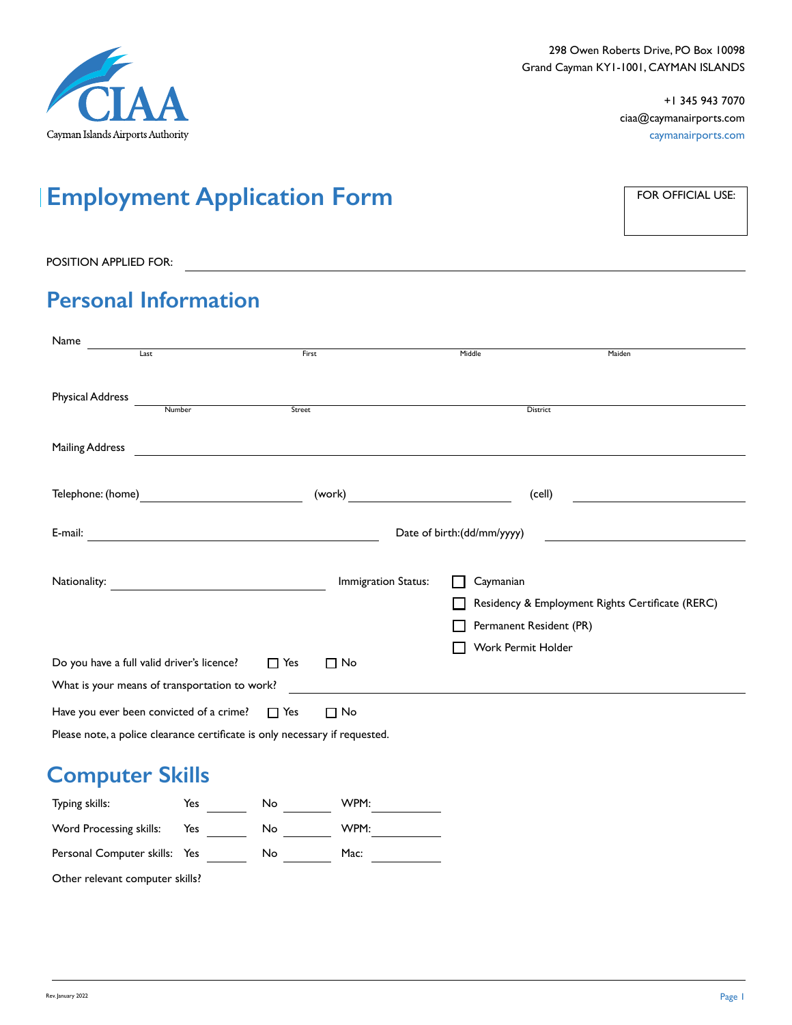

# **Employment Application Form**

FOR OFFICIAL USE:

#### POSITION APPLIED FOR: <u>Contract of the set of the set of the set of the set of the set of the set of the set of the set of the set of the set of the set of the set of the set of the set of the set of the set of the set of </u>

## **Personal Information**

| Name<br>Last                                                                                                                     | First      |                                                 | Middle                               | Maiden                                           |  |
|----------------------------------------------------------------------------------------------------------------------------------|------------|-------------------------------------------------|--------------------------------------|--------------------------------------------------|--|
| <b>Physical Address</b><br>Number                                                                                                | Street     |                                                 | District                             |                                                  |  |
| <b>Mailing Address</b>                                                                                                           |            |                                                 |                                      |                                                  |  |
| Telephone: (home)                                                                                                                |            | (work)<br><u> 1970 - John Barn Barn, mars a</u> | (cell)                               |                                                  |  |
| E-mail:<br><u> 1989 - Johann Barn, mars eta bainar eta industrial eta baina eta baina eta baina eta baina eta baina eta bain</u> |            | Date of birth:(dd/mm/yyyy)                      |                                      |                                                  |  |
| Nationality:                                                                                                                     |            | Immigration Status:                             | Caymanian<br>Permanent Resident (PR) | Residency & Employment Rights Certificate (RERC) |  |
| Do you have a full valid driver's licence?<br>What is your means of transportation to work?                                      | $\Box$ Yes | $\Box$ No                                       | Work Permit Holder                   |                                                  |  |
| Have you ever been convicted of a crime?<br>Please note, a police clearance certificate is only necessary if requested.          | $\Box$ Yes | $\Box$ No                                       |                                      |                                                  |  |

#### **Computer Skills**

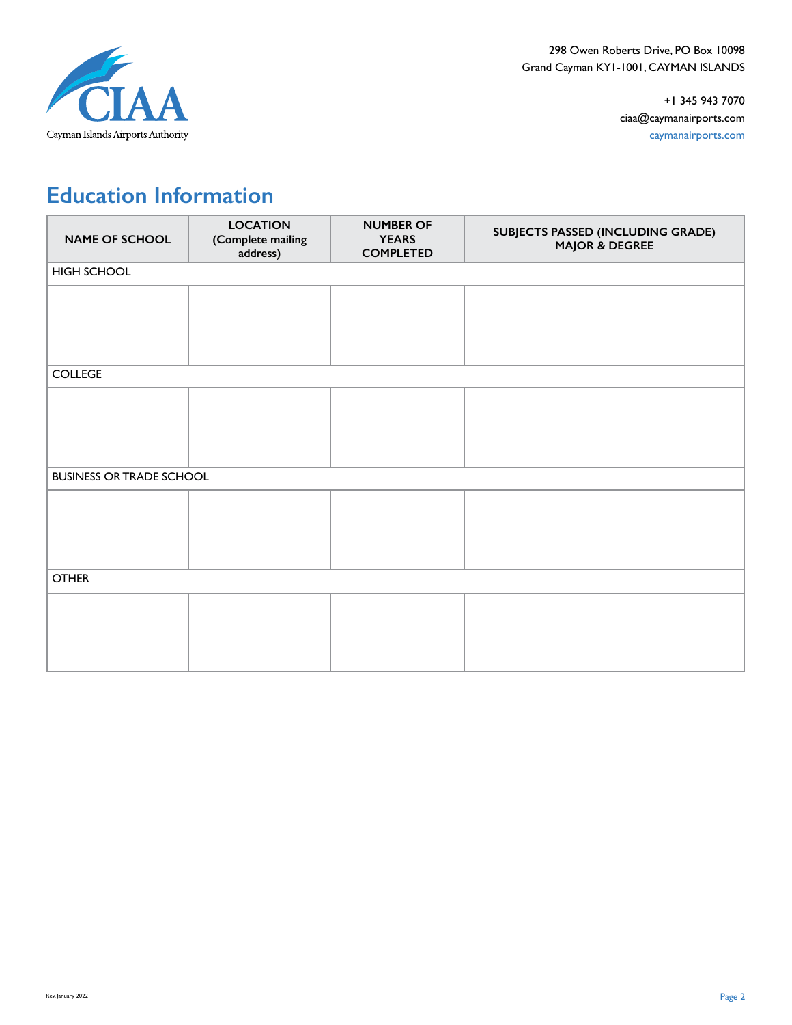

## **Education Information**

| <b>NAME OF SCHOOL</b>           | <b>LOCATION</b><br>(Complete mailing<br>address) | <b>NUMBER OF</b><br><b>YEARS</b><br><b>COMPLETED</b> | SUBJECTS PASSED (INCLUDING GRADE)<br><b>MAJOR &amp; DEGREE</b> |  |
|---------------------------------|--------------------------------------------------|------------------------------------------------------|----------------------------------------------------------------|--|
| HIGH SCHOOL                     |                                                  |                                                      |                                                                |  |
|                                 |                                                  |                                                      |                                                                |  |
|                                 |                                                  |                                                      |                                                                |  |
|                                 |                                                  |                                                      |                                                                |  |
| <b>COLLEGE</b>                  |                                                  |                                                      |                                                                |  |
|                                 |                                                  |                                                      |                                                                |  |
|                                 |                                                  |                                                      |                                                                |  |
|                                 |                                                  |                                                      |                                                                |  |
|                                 |                                                  |                                                      |                                                                |  |
|                                 |                                                  |                                                      |                                                                |  |
| <b>BUSINESS OR TRADE SCHOOL</b> |                                                  |                                                      |                                                                |  |
|                                 |                                                  |                                                      |                                                                |  |
|                                 |                                                  |                                                      |                                                                |  |
|                                 |                                                  |                                                      |                                                                |  |
|                                 |                                                  |                                                      |                                                                |  |
| <b>OTHER</b>                    |                                                  |                                                      |                                                                |  |
|                                 |                                                  |                                                      |                                                                |  |
|                                 |                                                  |                                                      |                                                                |  |
|                                 |                                                  |                                                      |                                                                |  |
|                                 |                                                  |                                                      |                                                                |  |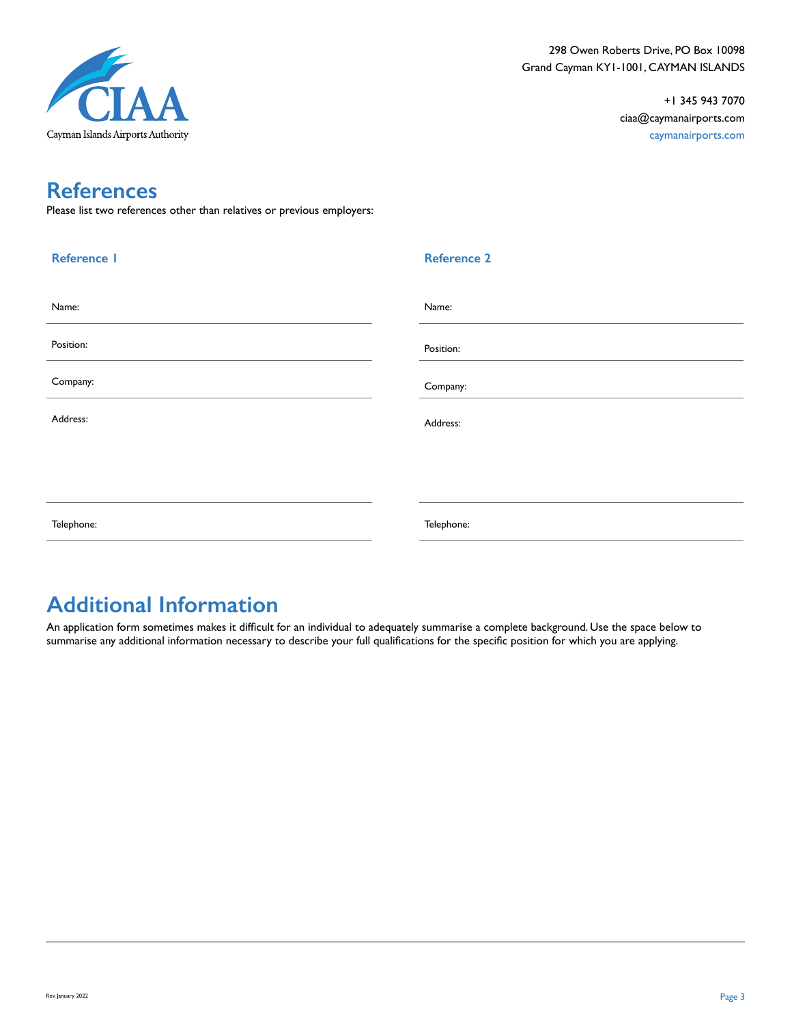

### **References**

Please list two references other than relatives or previous employers:

| <b>Reference I</b> | <b>Reference 2</b> |
|--------------------|--------------------|
| Name:              | Name:              |
| Position:          | Position:          |
| Company:           | Company:           |
| Address:           | Address:           |
|                    |                    |
|                    |                    |
| Telephone:         | Telephone:         |

#### **Additional Information**

An application form sometimes makes it difficult for an individual to adequately summarise a complete background. Use the space below to summarise any additional information necessary to describe your full qualifications for the specific position for which you are applying.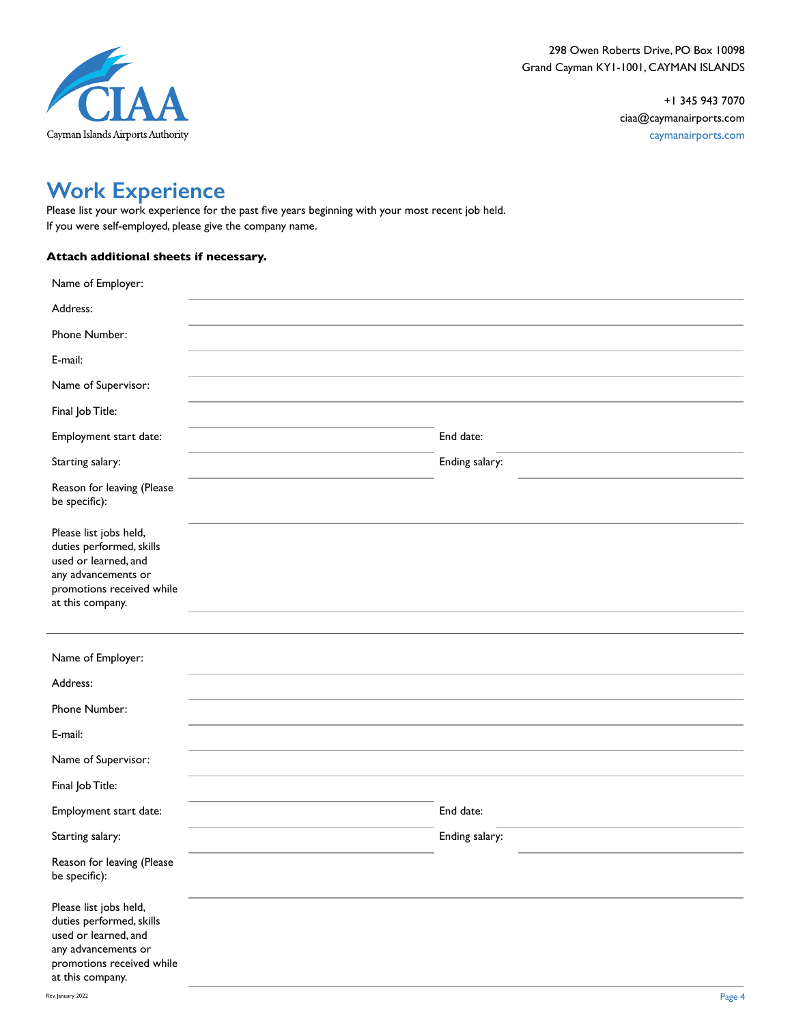

#### **Work Experience**

Please list your work experience for the past five years beginning with your most recent job held. If you were self-employed, please give the company name.

#### **Attach additional sheets if necessary.**

| Name of Employer:                                                                                                                                  |                |  |
|----------------------------------------------------------------------------------------------------------------------------------------------------|----------------|--|
| Address:                                                                                                                                           |                |  |
| Phone Number:                                                                                                                                      |                |  |
| E-mail:                                                                                                                                            |                |  |
| Name of Supervisor:                                                                                                                                |                |  |
| Final Job Title:                                                                                                                                   |                |  |
| Employment start date:                                                                                                                             | End date:      |  |
| Starting salary:                                                                                                                                   | Ending salary: |  |
| Reason for leaving (Please<br>be specific):                                                                                                        |                |  |
| Please list jobs held,<br>duties performed, skills<br>used or learned, and<br>any advancements or<br>promotions received while<br>at this company. |                |  |
| Name of Employer:<br>Address:                                                                                                                      |                |  |
| Phone Number:                                                                                                                                      |                |  |
| E-mail:                                                                                                                                            |                |  |
|                                                                                                                                                    |                |  |
| Name of Supervisor:                                                                                                                                |                |  |
| Final Job Title:                                                                                                                                   |                |  |
| Employment start date:                                                                                                                             | End date:      |  |
| Starting salary:                                                                                                                                   | Ending salary: |  |
| Reason for leaving (Please<br>be specific):                                                                                                        |                |  |
| Please list jobs held,<br>duties performed, skills<br>used or learned, and<br>any advancements or<br>promotions received while<br>at this company. |                |  |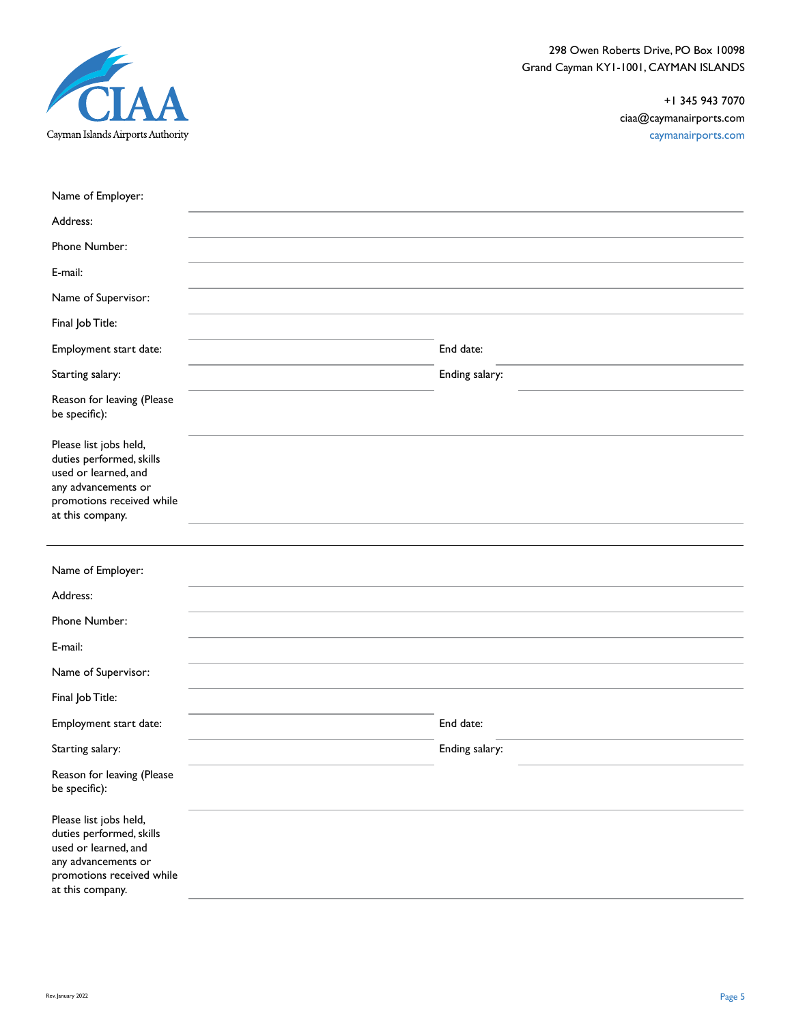

298 Owen Roberts Drive, PO Box 10098 Grand Cayman KY1-1001, CAYMAN ISLANDS

> +1 345 943 7070 ciaa@caymanairports.com caymanairports.com

| Name of Employer:                                                                                                                                  |                |
|----------------------------------------------------------------------------------------------------------------------------------------------------|----------------|
| Address:                                                                                                                                           |                |
| Phone Number:                                                                                                                                      |                |
| E-mail:                                                                                                                                            |                |
| Name of Supervisor:                                                                                                                                |                |
| Final Job Title:                                                                                                                                   |                |
| Employment start date:                                                                                                                             | End date:      |
| Starting salary:                                                                                                                                   | Ending salary: |
| Reason for leaving (Please<br>be specific):                                                                                                        |                |
| Please list jobs held,<br>duties performed, skills<br>used or learned, and<br>any advancements or<br>promotions received while<br>at this company. |                |
|                                                                                                                                                    |                |
| Name of Employer:                                                                                                                                  |                |
| Address:                                                                                                                                           |                |
| Phone Number:                                                                                                                                      |                |
| E-mail:                                                                                                                                            |                |
| Name of Supervisor:                                                                                                                                |                |
| Final Job Title:                                                                                                                                   |                |
| Employment start date:                                                                                                                             | End date:      |
| Starting salary:                                                                                                                                   | Ending salary: |
| Reason for leaving (Please<br>be specific):                                                                                                        |                |
| Please list jobs held,<br>duties performed, skills<br>used or learned, and<br>any advancements or<br>promotions received while<br>at this company. |                |